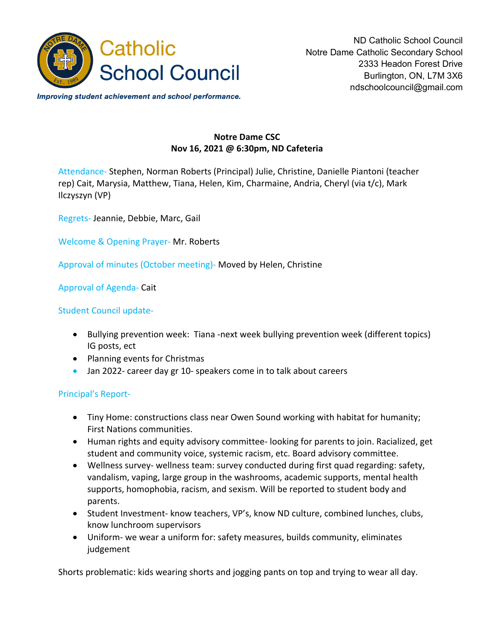

ND Catholic School Council Notre Dame Catholic Secondary School 2333 Headon Forest Drive Burlington, ON, L7M 3X6 ndschoolcouncil@gmail.com

Improving student achievement and school performance.

# **Notre Dame CSC Nov 16, 2021 @ 6:30pm, ND Cafeteria**

Attendance- Stephen, Norman Roberts (Principal) Julie, Christine, Danielle Piantoni (teacher rep) Cait, Marysia, Matthew, Tiana, Helen, Kim, Charmaine, Andria, Cheryl (via t/c), Mark Ilczyszyn (VP)

Regrets- Jeannie, Debbie, Marc, Gail

Welcome & Opening Prayer- Mr. Roberts

Approval of minutes (October meeting)- Moved by Helen, Christine

Approval of Agenda- Cait

## Student Council update-

- Bullying prevention week: Tiana -next week bullying prevention week (different topics) IG posts, ect
- Planning events for Christmas
- Jan 2022- career day gr 10- speakers come in to talk about careers

## Principal's Report-

- Tiny Home: constructions class near Owen Sound working with habitat for humanity; First Nations communities.
- Human rights and equity advisory committee- looking for parents to join. Racialized, get student and community voice, systemic racism, etc. Board advisory committee.
- Wellness survey- wellness team: survey conducted during first quad regarding: safety, vandalism, vaping, large group in the washrooms, academic supports, mental health supports, homophobia, racism, and sexism. Will be reported to student body and parents.
- Student Investment- know teachers, VP's, know ND culture, combined lunches, clubs, know lunchroom supervisors
- Uniform- we wear a uniform for: safety measures, builds community, eliminates judgement

Shorts problematic: kids wearing shorts and jogging pants on top and trying to wear all day.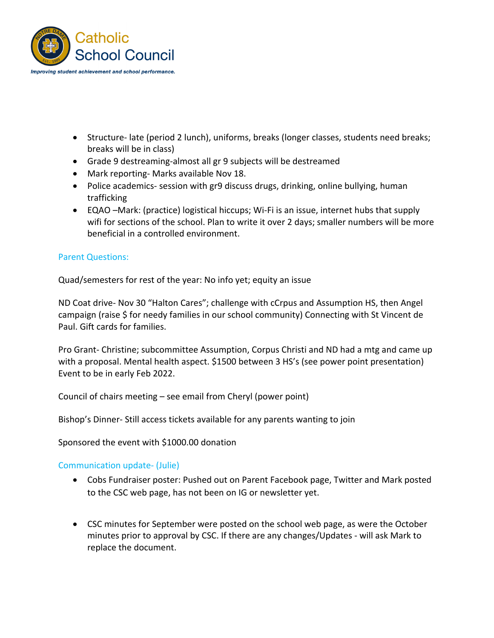

- Structure- late (period 2 lunch), uniforms, breaks (longer classes, students need breaks; breaks will be in class)
- Grade 9 destreaming-almost all gr 9 subjects will be destreamed
- Mark reporting- Marks available Nov 18.
- Police academics- session with gr9 discuss drugs, drinking, online bullying, human trafficking
- EQAO –Mark: (practice) logistical hiccups; Wi-Fi is an issue, internet hubs that supply wifi for sections of the school. Plan to write it over 2 days; smaller numbers will be more beneficial in a controlled environment.

## Parent Questions:

Quad/semesters for rest of the year: No info yet; equity an issue

ND Coat drive- Nov 30 "Halton Cares"; challenge with cCrpus and Assumption HS, then Angel campaign (raise \$ for needy families in our school community) Connecting with St Vincent de Paul. Gift cards for families.

Pro Grant- Christine; subcommittee Assumption, Corpus Christi and ND had a mtg and came up with a proposal. Mental health aspect. \$1500 between 3 HS's (see power point presentation) Event to be in early Feb 2022.

Council of chairs meeting – see email from Cheryl (power point)

Bishop's Dinner- Still access tickets available for any parents wanting to join

Sponsored the event with \$1000.00 donation

#### Communication update- (Julie)

- Cobs Fundraiser poster: Pushed out on Parent Facebook page, Twitter and Mark posted to the CSC web page, has not been on IG or newsletter yet.
- CSC minutes for September were posted on the school web page, as were the October minutes prior to approval by CSC. If there are any changes/Updates - will ask Mark to replace the document.